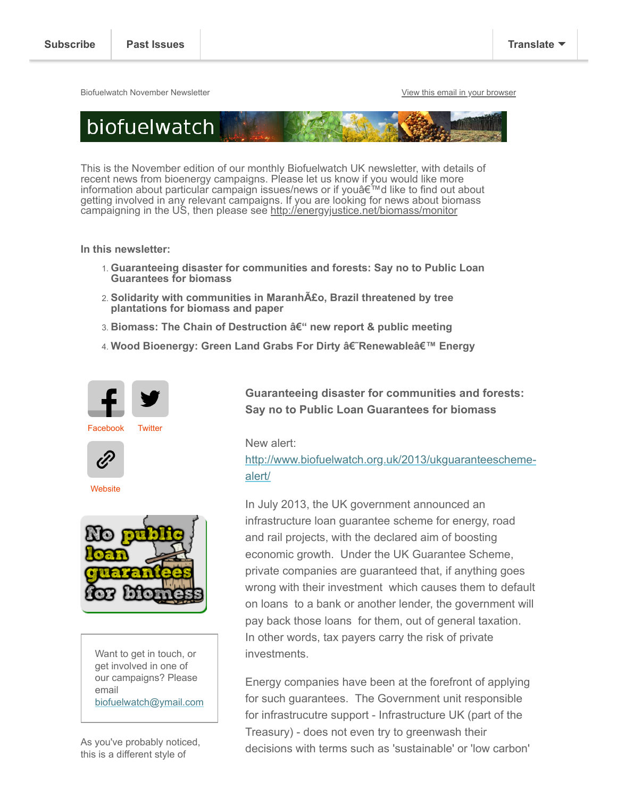Biofuelwatch November Newsletter [View this email in your browser](https://us4.campaign-archive.com/?e=[UNIQID]&u=2589f2f766b714016ebb1254c&id=9692f8e589)



This is the November edition of our monthly Biofuelwatch UK newsletter, with details of recent news from bioenergy campaigns. Please let us know if you would like more information about particular campaign issues/news or if you'd like to find out about getting involved in any relevant campaigns. If you are looking for news about biomass campaigning in the US, then please see<http://energyjustice.net/biomass/monitor>

**In this newsletter:**

- 1. **Guaranteeing disaster for communities and forests: Say no to Public Loan Guarantees for biomass**
- 2. **Solidarity with communities in Maranhão, Brazil threatened by tree plantations for biomass and paper**
- 3. **Biomass: The Chain of Destruction â€**" new report & public meeting
- 4. Wood Bioenergy: Green Land Grabs For Dirty †Renewableâ€<sup>™</sup> Energy



[Facebook](https://www.facebook.com/Biofuelwatch) [Twitter](https://twitter.com/biofuelwatch)



**[Website](http://biofuelwatch.org.uk/)** 



Want to get in touch, or get involved in one of our campaigns? Please email [biofuelwatch@ymail.com](http://biofuelwatch@ymail.com/)

As you've probably noticed, this is a different style of

**Guaranteeing disaster for communities and forests: Say no to Public Loan Guarantees for biomass**

New alert:

[http://www.biofuelwatch.org.uk/2013/ukguaranteescheme](http://www.biofuelwatch.org.uk/2013/ukguaranteescheme-alert/)alert/

In July 2013, the UK government announced an infrastructure loan guarantee scheme for energy, road and rail projects, with the declared aim of boosting economic growth. Under the UK Guarantee Scheme, private companies are guaranteed that, if anything goes wrong with their investment which causes them to default on loans to a bank or another lender, the government will pay back those loans for them, out of general taxation. In other words, tax payers carry the risk of private investments.

Energy companies have been at the forefront of applying for such guarantees. The Government unit responsible for infrastrucutre support - Infrastructure UK (part of the Treasury) - does not even try to greenwash their decisions with terms such as 'sustainable' or 'low carbon'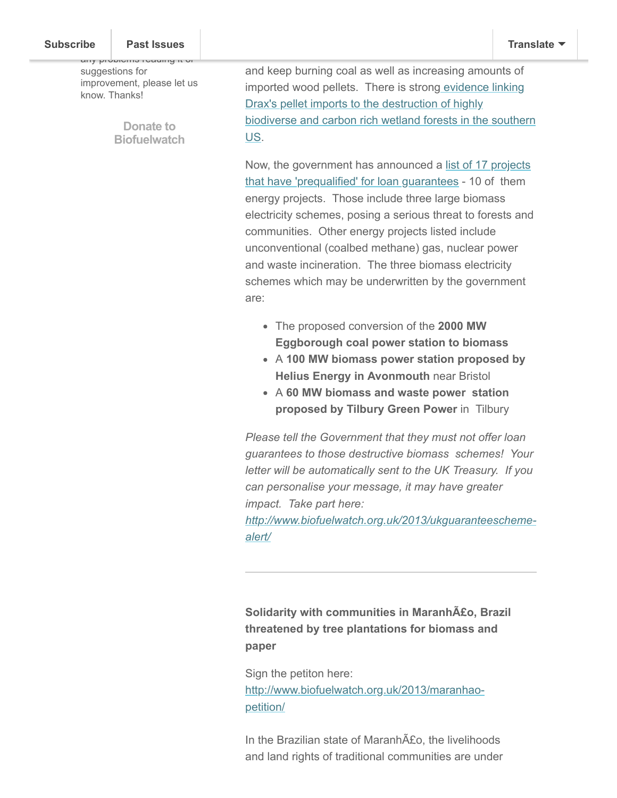any problems reading it or suggestions for improvement, please let us know. Thanks!

> **Donate to [Biofuelwatch](http://www.biofuelwatch.org.uk/donate/)**

and keep burning coal as well as increasing amounts of imported wood pellets. There is strong evidence linking Drax's pellet imports to the destruction of highly [biodiverse and carbon rich wetland forests in the southern](http://www.dogwoodalliance.org/2013/08/press-release-new-maps-reveal-envivas-ahoskie-wood-pellet-facility-threatens-southern-wetland-forests-surrounding-ecosystems-and-wildlife/) US.

[Now, the government has announced a list of 17 projects](https://www.gov.uk/government/news/new-projects-pass-first-hurdle-to-secure-government-guarantee-for-infrastructure) that have 'prequalified' for loan guarantees - 10 of them energy projects. Those include three large biomass electricity schemes, posing a serious threat to forests and communities. Other energy projects listed include unconventional (coalbed methane) gas, nuclear power and waste incineration. The three biomass electricity schemes which may be underwritten by the government are:

- The proposed conversion of the **2000 MW Eggborough coal power station to biomass**
- A **100 MW biomass power station proposed by Helius Energy in Avonmouth** near Bristol
- A **60 MW biomass and waste power station proposed by Tilbury Green Power** in Tilbury

*Please tell the Government that they must not offer loan guarantees to those destructive biomass schemes! Your letter will be automatically sent to the UK Treasury. If you can personalise your message, it may have greater impact. Take part here:*

*[http://www.biofuelwatch.org.uk/2013/ukguaranteescheme](http://www.biofuelwatch.org.uk/2013/ukguaranteescheme-alert/)alert/*

**Solidarity with communities in Maranhão, Brazil threatened by tree plantations for biomass and paper**

Sign the petiton here: [http://www.biofuelwatch.org.uk/2013/maranhao](http://www.biofuelwatch.org.uk/2013/maranhao-petition/)petition/

In the Brazilian state of Maranh£o, the livelihoods and land rights of traditional communities are under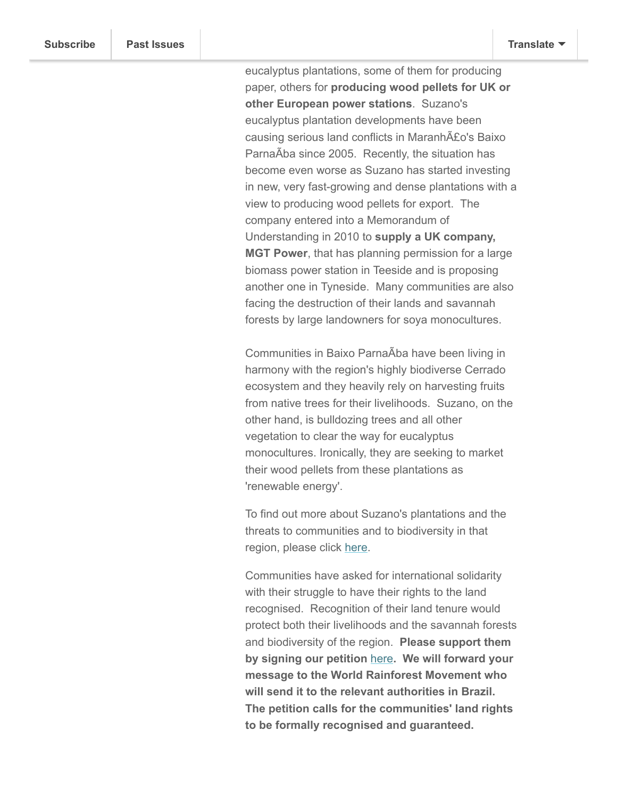eucalyptus plantations, some of them for producing paper, others for **producing wood pellets for UK or other European power stations**. Suzano's eucalyptus plantation developments have been causing serious land conflicts in MaranhA£o's Baixo ParnaAba since 2005. Recently, the situation has become even worse as Suzano has started investing in new, very fast-growing and dense plantations with a view to producing wood pellets for export. The company entered into a Memorandum of Understanding in 2010 to **supply a UK company, MGT Power**, that has planning permission for a large biomass power station in Teeside and is proposing another one in Tyneside. Many communities are also facing the destruction of their lands and savannah forests by large landowners for soya monocultures.

Communities in Baixo ParnaAba have been living in harmony with the region's highly biodiverse Cerrado ecosystem and they heavily rely on harvesting fruits from native trees for their livelihoods. Suzano, on the other hand, is bulldozing trees and all other vegetation to clear the way for eucalyptus monocultures. Ironically, they are seeking to market their wood pellets from these plantations as 'renewable energy'.

To find out more about Suzano's plantations and the threats to communities and to biodiversity in that region, please click [here.](http://www.biofuelwatch.org.uk/2013/chain-of-destruction/)

Communities have asked for international solidarity with their struggle to have their rights to the land recognised. Recognition of their land tenure would protect both their livelihoods and the savannah forests and biodiversity of the region. **Please support them by signing our petition** [here](http://www.biofuelwatch.org.uk/2013/maranhao-petition/)**. We will forward your message to the World Rainforest Movement who will send it to the relevant authorities in Brazil. The petition calls for the communities' land rights to be formally recognised and guaranteed.**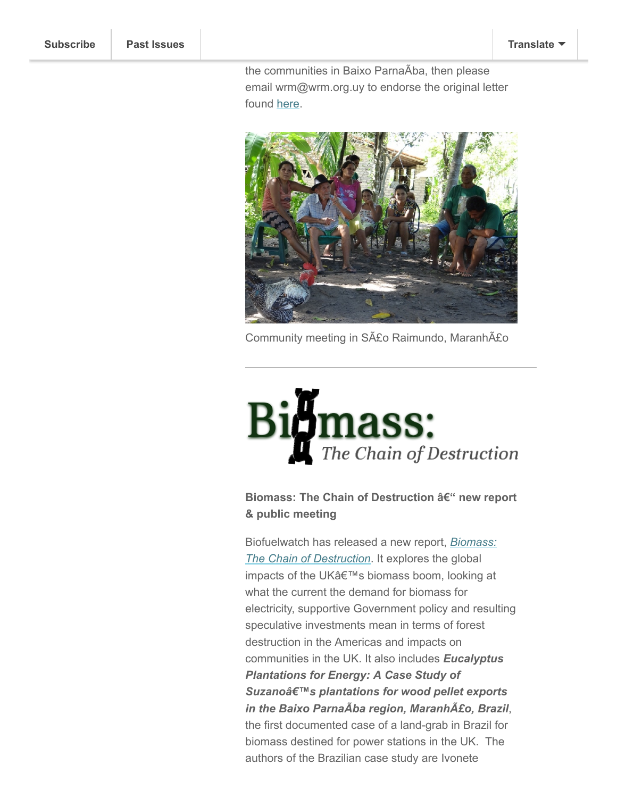the communities in Baixo ParnaÂba, then please email wrm@wrm.org.uy to endorse the original letter found [here.](http://wrm.org.uy/actions-and-campaigns/letter-to-the-national-institute-for-colonization-and-agrarian-reform-and-the-colonization-and-land-institute-of-the-state-of-maranhao-brazil-to-demand-the-recognition-and-land-tenure-regularization/)



Community meeting in São Raimundo, Maranhão

## **Amass:** The Chain of Destruction

## **Biomass: The Chain of Destruction – new report & public meeting**

[Biofuelwatch has released a new report,](http://www.biofuelwatch.org.uk/2013/chain-of-destruction/) *Biomass: The Chain of Destruction*. It explores the global impacts of the UK's biomass boom, looking at what the current the demand for biomass for electricity, supportive Government policy and resulting speculative investments mean in terms of forest destruction in the Americas and impacts on communities in the UK. It also includes *Eucalyptus Plantations for Energy: A Case Study of* Suzanoâ€<sup>™</sup>s plantations for wood pellet exports *in the Baixo Parnaà ba region, Maranhão, Brazil*, the first documented case of a land-grab in Brazil for biomass destined for power stations in the UK. The authors of the Brazilian case study are Ivonete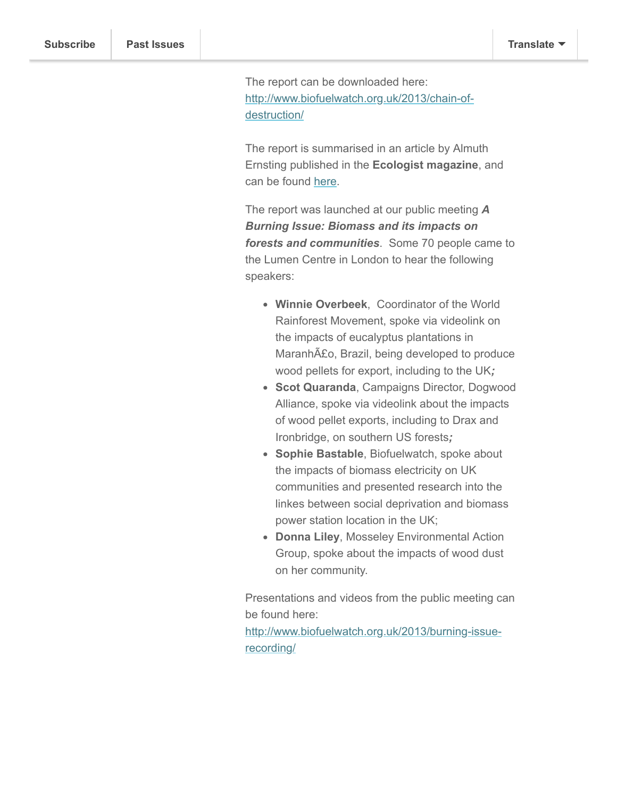The report can be downloaded here: [http://www.biofuelwatch.org.uk/2013/chain-of](http://www.biofuelwatch.org.uk/2013/chain-of-destruction/)destruction/

Gonçalves de Souza (CEPEDES) and Winfridus

The report is summarised in an article by Almuth Ernsting published in the **Ecologist magazine**, and can be found [here](http://www.theecologist.org/campaigning/2152546/biomass_the_chain_of_destruction.html).

The report was launched at our public meeting *A Burning Issue: Biomass and its impacts on forests and communities*. Some 70 people came to the Lumen Centre in London to hear the following speakers:

- **Winnie Overbeek**, Coordinator of the World Rainforest Movement, spoke via videolink on the impacts of eucalyptus plantations in Maranhão, Brazil, being developed to produce wood pellets for export, including to the UK*;*
- **Scot Quaranda**, Campaigns Director, Dogwood Alliance, spoke via videolink about the impacts of wood pellet exports, including to Drax and Ironbridge, on southern US forests*;*
- **Sophie Bastable**, Biofuelwatch, spoke about the impacts of biomass electricity on UK communities and presented research into the linkes between social deprivation and biomass power station location in the UK;
- **Donna Liley**, Mosseley Environmental Action Group, spoke about the impacts of wood dust on her community.

Presentations and videos from the public meeting can be found here:

[http://www.biofuelwatch.org.uk/2013/burning-issue](http://www.biofuelwatch.org.uk/2013/burning-issue-recording/)recording/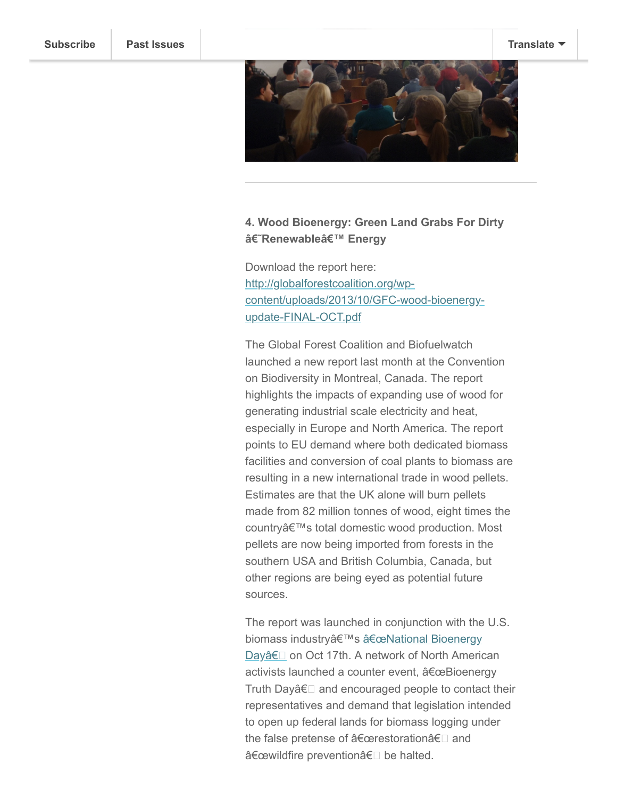

## **4. Wood Bioenergy: Green Land Grabs For Dirty** â€~Renewableâ€<sup>™</sup> Energy

Download the report here: http://globalforestcoalition.org/wp[content/uploads/2013/10/GFC-wood-bioenergy](http://globalforestcoalition.org/wp-content/uploads/2013/10/GFC-wood-bioenergy-update-FINAL-OCT.pdf)update-FINAL-OCT.pdf

The Global Forest Coalition and Biofuelwatch launched a new report last month at the Convention on Biodiversity in Montreal, Canada. The report highlights the impacts of expanding use of wood for generating industrial scale electricity and heat, especially in Europe and North America. The report points to EU demand where both dedicated biomass facilities and conversion of coal plants to biomass are resulting in a new international trade in wood pellets. Estimates are that the UK alone will burn pellets made from 82 million tonnes of wood, eight times the country's total domestic wood production. Most pellets are now being imported from forests in the southern USA and British Columbia, Canada, but other regions are being eyed as potential future sources.

The report was launched in conjunction with the U.S. biomass industry's afeceNational Bioenergy Dayâ€<sub>□</sub> on Oct 17th. A network of North American activists launched a counter event, "Bioenergy Truth Dayâ $\epsilon$  and encouraged people to contact their representatives and demand that legislation intended to open up federal lands for biomass logging under the false pretense of  $\hat{a} \in \text{c}$ erestoration $\hat{a} \in \Box$  and "wildfire preventionâ€□ be halted.